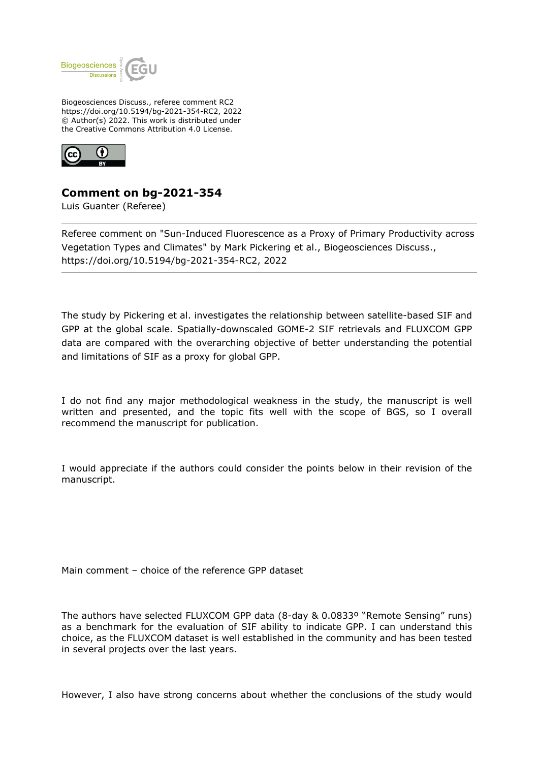

Biogeosciences Discuss., referee comment RC2 https://doi.org/10.5194/bg-2021-354-RC2, 2022 © Author(s) 2022. This work is distributed under the Creative Commons Attribution 4.0 License.



## **Comment on bg-2021-354**

Luis Guanter (Referee)

Referee comment on "Sun-Induced Fluorescence as a Proxy of Primary Productivity across Vegetation Types and Climates" by Mark Pickering et al., Biogeosciences Discuss., https://doi.org/10.5194/bg-2021-354-RC2, 2022

The study by Pickering et al. investigates the relationship between satellite-based SIF and GPP at the global scale. Spatially-downscaled GOME-2 SIF retrievals and FLUXCOM GPP data are compared with the overarching objective of better understanding the potential and limitations of SIF as a proxy for global GPP.

I do not find any major methodological weakness in the study, the manuscript is well written and presented, and the topic fits well with the scope of BGS, so I overall recommend the manuscript for publication.

I would appreciate if the authors could consider the points below in their revision of the manuscript.

Main comment – choice of the reference GPP dataset

The authors have selected FLUXCOM GPP data (8-day & 0.0833º "Remote Sensing" runs) as a benchmark for the evaluation of SIF ability to indicate GPP. I can understand this choice, as the FLUXCOM dataset is well established in the community and has been tested in several projects over the last years.

However, I also have strong concerns about whether the conclusions of the study would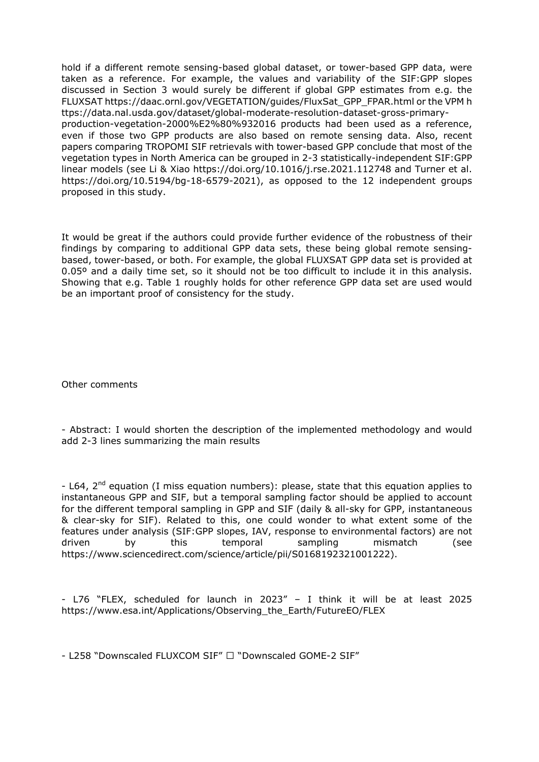hold if a different remote sensing-based global dataset, or tower-based GPP data, were taken as a reference. For example, the values and variability of the SIF:GPP slopes discussed in Section 3 would surely be different if global GPP estimates from e.g. the FLUXSAT https://daac.ornl.gov/VEGETATION/guides/FluxSat\_GPP\_FPAR.html or the VPM h ttps://data.nal.usda.gov/dataset/global-moderate-resolution-dataset-gross-primaryproduction-vegetation-2000%E2%80%932016 products had been used as a reference, even if those two GPP products are also based on remote sensing data. Also, recent papers comparing TROPOMI SIF retrievals with tower-based GPP conclude that most of the vegetation types in North America can be grouped in 2-3 statistically-independent SIF:GPP linear models (see Li & Xiao https://doi.org/10.1016/j.rse.2021.112748 and Turner et al. https://doi.org/10.5194/bg-18-6579-2021), as opposed to the 12 independent groups proposed in this study.

It would be great if the authors could provide further evidence of the robustness of their findings by comparing to additional GPP data sets, these being global remote sensingbased, tower-based, or both. For example, the global FLUXSAT GPP data set is provided at 0.05° and a daily time set, so it should not be too difficult to include it in this analysis. Showing that e.g. Table 1 roughly holds for other reference GPP data set are used would be an important proof of consistency for the study.

Other comments

- Abstract: I would shorten the description of the implemented methodology and would add 2-3 lines summarizing the main results

 $-$  L64, 2<sup>nd</sup> equation (I miss equation numbers): please, state that this equation applies to instantaneous GPP and SIF, but a temporal sampling factor should be applied to account for the different temporal sampling in GPP and SIF (daily & all-sky for GPP, instantaneous & clear-sky for SIF). Related to this, one could wonder to what extent some of the features under analysis (SIF:GPP slopes, IAV, response to environmental factors) are not driven by this temporal sampling mismatch (see https://www.sciencedirect.com/science/article/pii/S0168192321001222).

- L76 "FLEX, scheduled for launch in 2023" – I think it will be at least 2025 https://www.esa.int/Applications/Observing\_the\_Earth/FutureEO/FLEX

- L258 "Downscaled FLUXCOM SIF"  $\Box$  "Downscaled GOME-2 SIF"